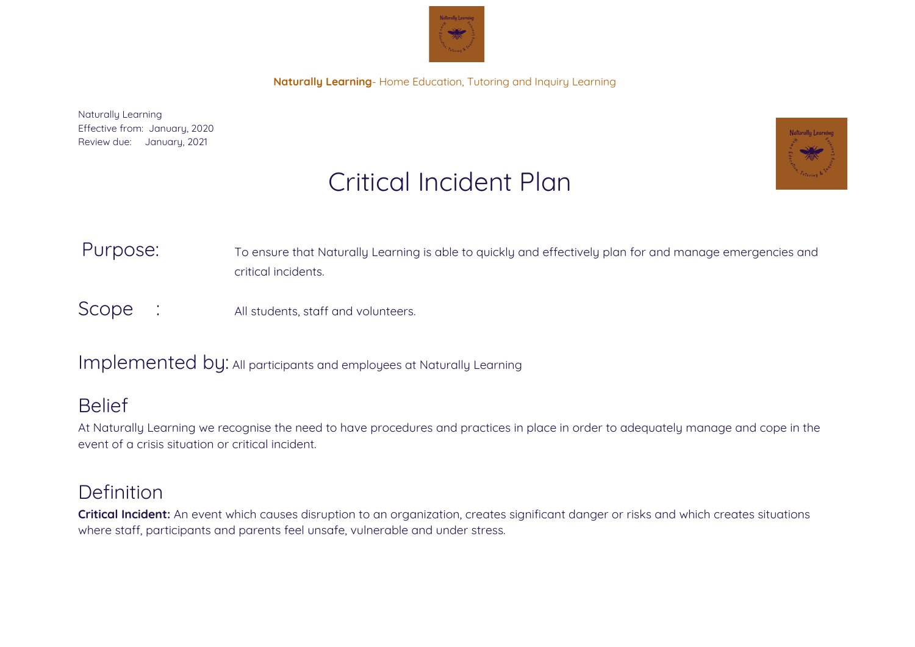

Naturally Learning Effective from: January, 2020 Review due: January, 2021



# Critical Incident Plan

## Purpose: To ensure that Naturally Learning is able to quickly and effectively plan for and manage emergencies and critical incidents.

Scope : All students, staff and volunteers.

## Implemented by: All participants and employees at Naturally Learning

## Belief

At Naturally Learning we recognise the need to have procedures and practices in place in order to adequately manage and cope in the event of a crisis situation or critical incident.

# Definition

**Critical Incident:** An event which causes disruption to an organization, creates significant danger or risks and which creates situations where staff, participants and parents feel unsafe, vulnerable and under stress.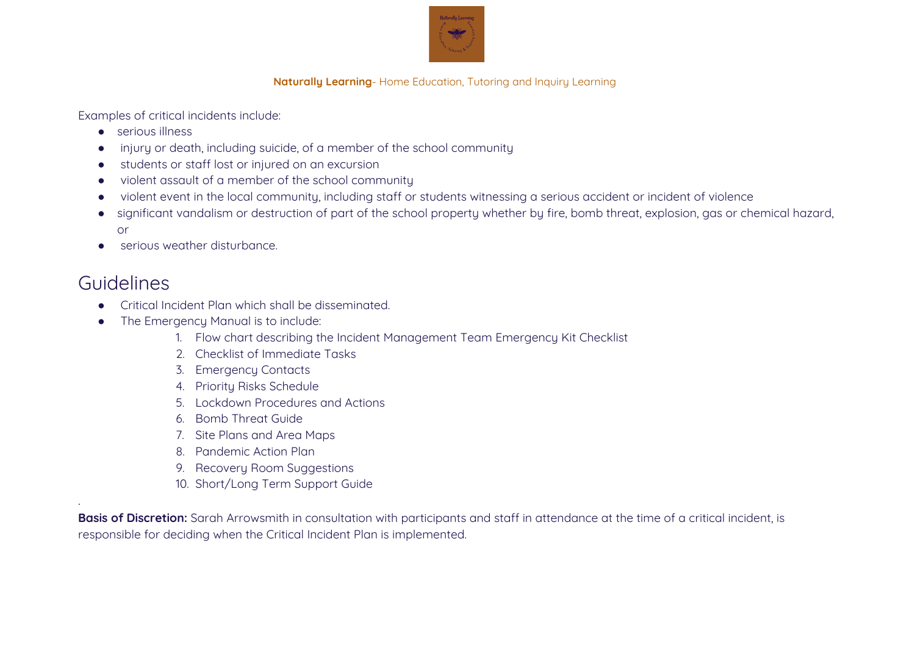

Examples of critical incidents include:

- serious illness
- injury or death, including suicide, of a member of the school community
- students or staff lost or injured on an excursion
- violent assault of a member of the school community
- violent event in the local community, including staff or students witnessing a serious accident or incident of violence
- significant vandalism or destruction of part of the school property whether by fire, bomb threat, explosion, gas or chemical hazard, or
- serious weather disturbance.

# Guidelines

.

- Critical Incident Plan which shall be disseminated.
- The Emergency Manual is to include:
	- 1. Flow chart describing the Incident Management Team Emergency Kit Checklist
	- 2. Checklist of Immediate Tasks
	- 3. Emergency Contacts
	- 4. Priority Risks Schedule
	- 5. Lockdown Procedures and Actions
	- 6. Bomb Threat Guide
	- 7. Site Plans and Area Maps
	- 8. Pandemic Action Plan
	- 9. Recovery Room Suggestions
	- 10. Short/Long Term Support Guide

**Basis of Discretion:** Sarah Arrowsmith in consultation with participants and staff in attendance at the time of a critical incident, is responsible for deciding when the Critical Incident Plan is implemented.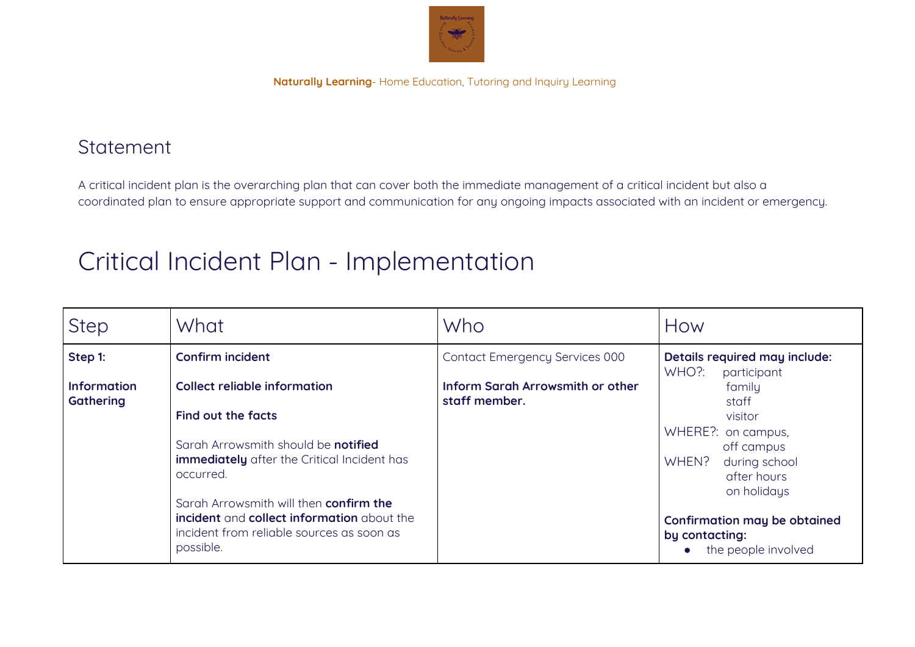

## **Statement**

A critical incident plan is the overarching plan that can cover both the immediate management of a critical incident but also a coordinated plan to ensure appropriate support and communication for any ongoing impacts associated with an incident or emergency.

# Critical Incident Plan - Implementation

| <b>Step</b>                            | What                                                                                                                                           | Who                                                      | How                                                                                      |
|----------------------------------------|------------------------------------------------------------------------------------------------------------------------------------------------|----------------------------------------------------------|------------------------------------------------------------------------------------------|
| Step 1:                                | <b>Confirm incident</b>                                                                                                                        | Contact Emergency Services 000                           | Details required may include:<br>WHO?:<br>participant                                    |
| <b>Information</b><br><b>Gathering</b> | <b>Collect reliable information</b>                                                                                                            | <b>Inform Sarah Arrowsmith or other</b><br>staff member. | family<br>staff                                                                          |
|                                        | Find out the facts                                                                                                                             |                                                          | visitor                                                                                  |
|                                        | Sarah Arrowsmith should be <b>notified</b><br><b>immediately</b> after the Critical Incident has<br>occurred.                                  |                                                          | WHERE?: on campus,<br>off campus<br>WHEN?<br>during school<br>after hours<br>on holidays |
|                                        | Sarah Arrowsmith will then confirm the<br>incident and collect information about the<br>incident from reliable sources as soon as<br>possible. |                                                          | Confirmation may be obtained<br>by contacting:<br>the people involved                    |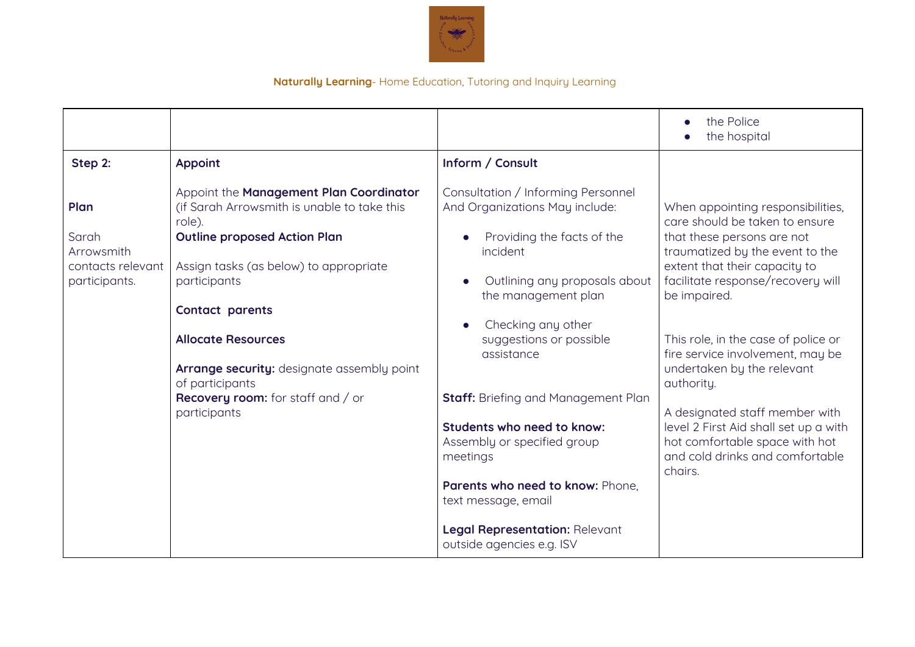

|                                                                   |                                                                                                                                                                                                                      |                                                                                                                                                                                                                                                                                                              | the Police<br>$\bullet$<br>the hospital                                                                                                                                                                                                                                        |
|-------------------------------------------------------------------|----------------------------------------------------------------------------------------------------------------------------------------------------------------------------------------------------------------------|--------------------------------------------------------------------------------------------------------------------------------------------------------------------------------------------------------------------------------------------------------------------------------------------------------------|--------------------------------------------------------------------------------------------------------------------------------------------------------------------------------------------------------------------------------------------------------------------------------|
| Step 2:                                                           | <b>Appoint</b>                                                                                                                                                                                                       | Inform / Consult                                                                                                                                                                                                                                                                                             |                                                                                                                                                                                                                                                                                |
| Plan<br>Sarah<br>Arrowsmith<br>contacts relevant<br>participants. | Appoint the Management Plan Coordinator<br>(if Sarah Arrowsmith is unable to take this<br>role).<br><b>Outline proposed Action Plan</b><br>Assign tasks (as below) to appropriate<br>participants<br>Contact parents | Consultation / Informing Personnel<br>And Organizations May include:<br>Providing the facts of the<br>incident<br>Outlining any proposals about<br>the management plan                                                                                                                                       | When appointing responsibilities,<br>care should be taken to ensure<br>that these persons are not<br>traumatized by the event to the<br>extent that their capacity to<br>facilitate response/recovery will<br>be impaired.                                                     |
|                                                                   | <b>Allocate Resources</b><br>Arrange security: designate assembly point<br>of participants<br><b>Recovery room:</b> for staff and / or<br>participants                                                               | Checking any other<br>suggestions or possible<br>assistance<br><b>Staff:</b> Briefing and Management Plan<br>Students who need to know:<br>Assembly or specified group<br>meetings<br>Parents who need to know: Phone,<br>text message, email<br>Legal Representation: Relevant<br>outside agencies e.g. ISV | This role, in the case of police or<br>fire service involvement, may be<br>undertaken by the relevant<br>authority.<br>A designated staff member with<br>level 2 First Aid shall set up a with<br>hot comfortable space with hot<br>and cold drinks and comfortable<br>chairs. |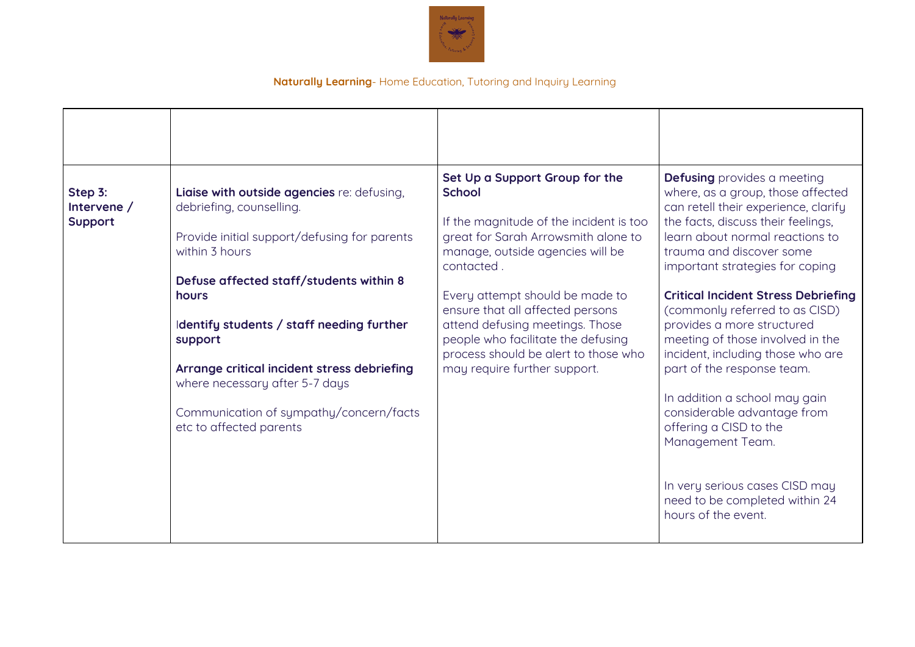

| Step 3:<br>Intervene /<br>Support | Liaise with outside agencies re: defusing,<br>debriefing, counselling.<br>Provide initial support/defusing for parents<br>within 3 hours<br>Defuse affected staff/students within 8<br>hours<br>Identify students / staff needing further<br>support<br>Arrange critical incident stress debriefing<br>where necessary after 5-7 days<br>Communication of sympathy/concern/facts<br>etc to affected parents | Set Up a Support Group for the<br><b>School</b><br>If the magnitude of the incident is too<br>great for Sarah Arrowsmith alone to<br>manage, outside agencies will be<br>contacted.<br>Every attempt should be made to<br>ensure that all affected persons<br>attend defusing meetings. Those<br>people who facilitate the defusing<br>process should be alert to those who<br>may require further support. | <b>Defusing</b> provides a meeting<br>where, as a group, those affected<br>can retell their experience, clarify<br>the facts, discuss their feelings,<br>learn about normal reactions to<br>trauma and discover some<br>important strategies for coping<br><b>Critical Incident Stress Debriefing</b><br>(commonly referred to as CISD)<br>provides a more structured<br>meeting of those involved in the<br>incident, including those who are<br>part of the response team.<br>In addition a school may gain<br>considerable advantage from<br>offering a CISD to the<br>Management Team.<br>In very serious cases CISD may<br>need to be completed within 24<br>hours of the event. |
|-----------------------------------|-------------------------------------------------------------------------------------------------------------------------------------------------------------------------------------------------------------------------------------------------------------------------------------------------------------------------------------------------------------------------------------------------------------|-------------------------------------------------------------------------------------------------------------------------------------------------------------------------------------------------------------------------------------------------------------------------------------------------------------------------------------------------------------------------------------------------------------|---------------------------------------------------------------------------------------------------------------------------------------------------------------------------------------------------------------------------------------------------------------------------------------------------------------------------------------------------------------------------------------------------------------------------------------------------------------------------------------------------------------------------------------------------------------------------------------------------------------------------------------------------------------------------------------|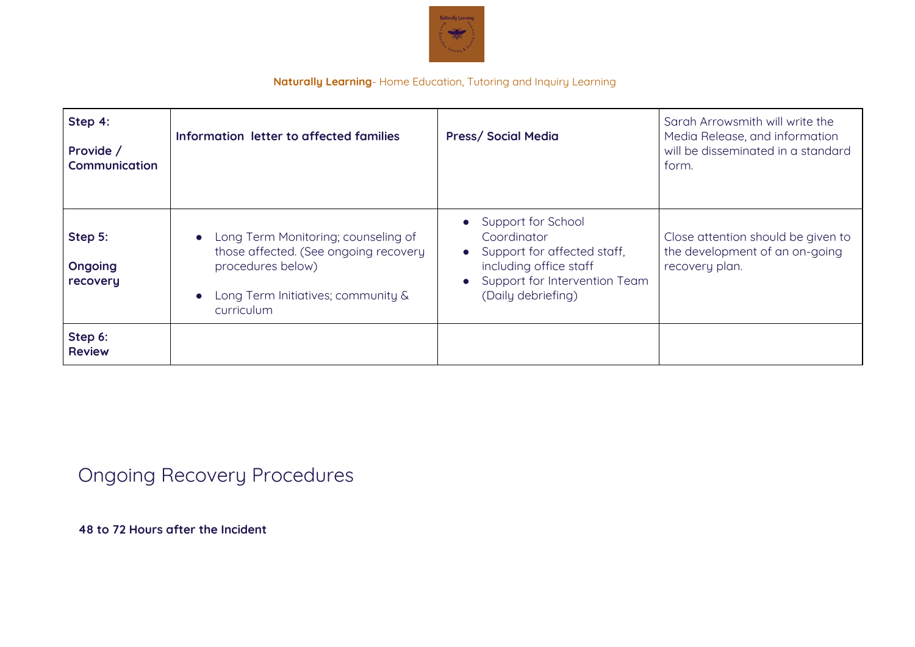

| Step 4:<br>Provide /<br>Communication | Information letter to affected families                                                                                                                 | <b>Press/Social Media</b>                                                                                                                                                     | Sarah Arrowsmith will write the<br>Media Release, and information<br>will be disseminated in a standard<br>form. |
|---------------------------------------|---------------------------------------------------------------------------------------------------------------------------------------------------------|-------------------------------------------------------------------------------------------------------------------------------------------------------------------------------|------------------------------------------------------------------------------------------------------------------|
| Step 5:<br>Ongoing<br>recovery        | • Long Term Monitoring; counseling of<br>those affected. (See ongoing recovery<br>procedures below)<br>Long Term Initiatives; community &<br>curriculum | • Support for School<br>Coordinator<br>Support for affected staff,<br>$\bullet$<br>including office staff<br>Support for Intervention Team<br>$\bullet$<br>(Daily debriefing) | Close attention should be given to<br>the development of an on-going<br>recovery plan.                           |
| Step 6:<br><b>Review</b>              |                                                                                                                                                         |                                                                                                                                                                               |                                                                                                                  |

# Ongoing Recovery Procedures

**48 to 72 Hours after the Incident**